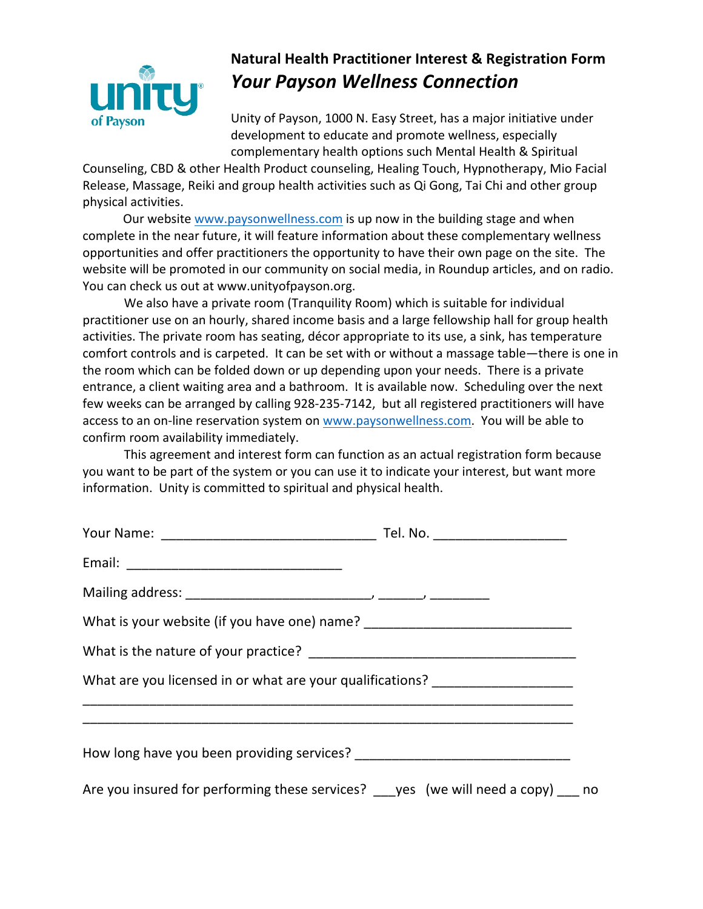

## **Natural Health Practitioner Interest & Registration Form** *Your Payson Wellness Connection*

Unity of Payson, 1000 N. Easy Street, has a major initiative under development to educate and promote wellness, especially complementary health options such Mental Health & Spiritual

Counseling, CBD & other Health Product counseling, Healing Touch, Hypnotherapy, Mio Facial Release, Massage, Reiki and group health activities such as Qi Gong, Tai Chi and other group physical activities.

Our website www.paysonwellness.com is up now in the building stage and when complete in the near future, it will feature information about these complementary wellness opportunities and offer practitioners the opportunity to have their own page on the site. The website will be promoted in our community on social media, in Roundup articles, and on radio. You can check us out at www.unityofpayson.org.

We also have a private room (Tranquility Room) which is suitable for individual practitioner use on an hourly, shared income basis and a large fellowship hall for group health activities. The private room has seating, décor appropriate to its use, a sink, has temperature comfort controls and is carpeted. It can be set with or without a massage table—there is one in the room which can be folded down or up depending upon your needs. There is a private entrance, a client waiting area and a bathroom. It is available now. Scheduling over the next few weeks can be arranged by calling 928-235-7142, but all registered practitioners will have access to an on-line reservation system on www.paysonwellness.com. You will be able to confirm room availability immediately.

This agreement and interest form can function as an actual registration form because you want to be part of the system or you can use it to indicate your interest, but want more information. Unity is committed to spiritual and physical health.

| What is your website (if you have one) name? ___________________________________    |  |
|-------------------------------------------------------------------------------------|--|
|                                                                                     |  |
| What are you licensed in or what are your qualifications? ______________________    |  |
|                                                                                     |  |
|                                                                                     |  |
| Are you insured for performing these services? ___ yes (we will need a copy) ___ no |  |